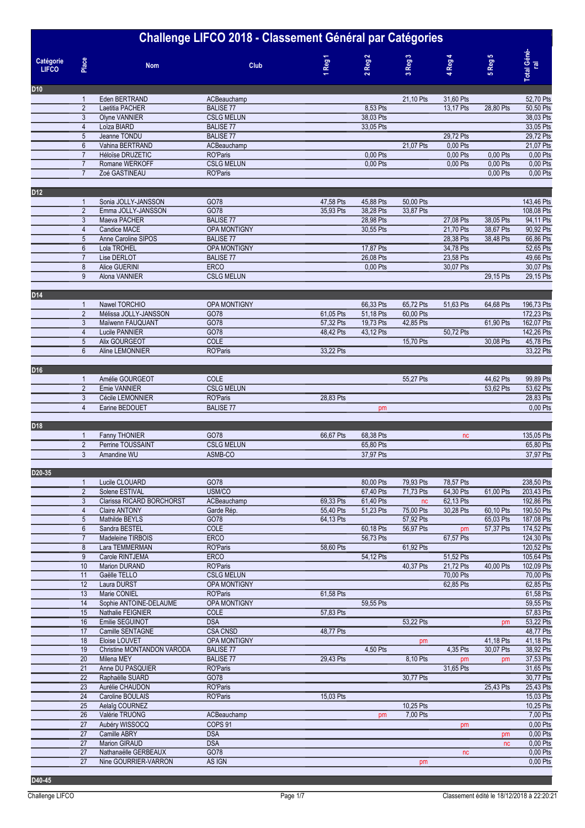| Challenge LIFCO 2018 - Classement Général par Catégories |                                  |                                          |                                         |         |           |                       |                        |                        |                        |                          |
|----------------------------------------------------------|----------------------------------|------------------------------------------|-----------------------------------------|---------|-----------|-----------------------|------------------------|------------------------|------------------------|--------------------------|
| Catégorie<br><b>LIFCO</b>                                | Place                            | <b>Nom</b>                               | Club                                    | 1 Reg 1 |           | $2$ Reg $2$           | 3 Reg 3                | 4 Reg 4                | 5 Reg 5                | Total Géné-<br>ral       |
| D <sub>10</sub>                                          |                                  |                                          |                                         |         |           |                       |                        |                        |                        |                          |
|                                                          | $\mathbf{1}$                     | Eden BERTRAND                            | ACBeauchamp                             |         |           |                       | 21,10 Pts              | 31,60 Pts              |                        | 52,70 Pts                |
|                                                          | $\overline{2}$<br>$\mathbf{3}$   | Laetitia PACHER<br><b>Olyne VANNIER</b>  | <b>BALISE 77</b><br><b>CSLG MELUN</b>   |         |           | 8,53 Pts<br>38,03 Pts |                        | 13,17 Pts              | 28,80 Pts              | 50,50 Pts<br>38,03 Pts   |
|                                                          | $\overline{4}$                   | Loïza BIARD                              | <b>BALISE 77</b>                        |         |           | 33,05 Pts             |                        |                        |                        | 33,05 Pts                |
|                                                          | $\sqrt{5}$                       | Jeanne TONDU                             | <b>BALISE 77</b>                        |         |           |                       |                        | 29,72 Pts              |                        | 29,72 Pts                |
|                                                          | $6\phantom{a}$                   | Vahina BERTRAND                          | ACBeauchamp                             |         |           |                       | 21.07 Pts              | 0,00 Pts               |                        | 21,07 Pts                |
|                                                          | $\overline{7}$                   | Héloïse DRUZETIC                         | RO'Paris                                |         |           | 0,00 Pts              |                        | 0,00 Pts               | 0,00 Pts               | 0,00 Pts                 |
|                                                          | $\overline{7}$<br>$\overline{7}$ | Romane WERKOFF<br>Zoé GASTINEAU          | <b>CSLG MELUN</b><br><b>RO'Paris</b>    |         |           | 0,00 Pts              |                        | 0,00 Pts               | 0,00 Pts<br>0,00 Pts   | 0,00 Pts<br>0,00 Pts     |
|                                                          |                                  |                                          |                                         |         |           |                       |                        |                        |                        |                          |
| D12                                                      |                                  |                                          |                                         |         |           |                       |                        |                        |                        |                          |
|                                                          | $\mathbf{1}$                     | Sonia JOLLY-JANSSON                      | GO78                                    |         | 47,58 Pts | 45,88 Pts             | 50,00 Pts              |                        |                        | 143,46 Pts               |
|                                                          | $\overline{2}$                   | Emma JOLLY-JANSSON                       | GO78                                    |         | 35,93 Pts | 38,28 Pts             | 33,87 Pts              |                        |                        | 108,08 Pts               |
|                                                          | 3<br>$\overline{4}$              | Maeva PACHER<br>Candice MACE             | <b>BALISE 77</b>                        |         |           | 28,98 Pts             |                        | 27,08 Pts<br>21,70 Pts | 38,05 Pts<br>38.67 Pts | 94,11 Pts<br>90,92 Pts   |
|                                                          | $\overline{5}$                   | Anne Caroline SIPOS                      | <b>OPA MONTIGNY</b><br><b>BALISE 77</b> |         |           | 30,55 Pts             |                        | 28,38 Pts              | 38,48 Pts              | 66,86 Pts                |
|                                                          | $\boldsymbol{6}$                 | Lola TROHEL                              | OPA MONTIGNY                            |         |           | 17,87 Pts             |                        | 34,78 Pts              |                        | 52,65 Pts                |
|                                                          | $\overline{7}$                   | Lise DERLOT                              | <b>BALISE 77</b>                        |         |           | 26.08 Pts             |                        | 23,58 Pts              |                        | 49,66 Pts                |
|                                                          | 8                                | Alice GUERINI                            | <b>ERCO</b>                             |         |           | 0,00 Pts              |                        | 30,07 Pts              |                        | 30,07 Pts                |
|                                                          | 9                                | Alona VANNIER                            | <b>CSLG MELUN</b>                       |         |           |                       |                        |                        | 29,15 Pts              | 29,15 Pts                |
| D14                                                      |                                  |                                          |                                         |         |           |                       |                        |                        |                        |                          |
|                                                          | $\mathbf{1}$                     | Nawel TORCHIO                            | <b>OPA MONTIGNY</b>                     |         |           | 66,33 Pts             | 65,72 Pts              | 51,63 Pts              | 64,68 Pts              | 196,73 Pts               |
|                                                          | $\overline{2}$                   | Mélissa JOLLY-JANSSON                    | GO78                                    |         | 61,05 Pts | 51,18 Pts             | 60,00 Pts              |                        |                        | 172,23 Pts               |
|                                                          | 3                                | Maïwenn FAUQUANT                         | GO78                                    |         | 57,32 Pts | 19,73 Pts             | 42,85 Pts              |                        | 61,90 Pts              | 162,07 Pts               |
|                                                          | $\overline{4}$                   | Lucile PANNIER                           | GO78                                    |         | 48,42 Pts | 43,12 Pts             |                        | 50,72 Pts              |                        | 142,26 Pts               |
|                                                          | $\overline{5}$<br>$6\phantom{1}$ | Alix GOURGEOT<br>Aline LEMONNIER         | COLE<br>RO'Paris                        |         | 33,22 Pts |                       | 15,70 Pts              |                        | 30,08 Pts              | 45,78 Pts<br>33,22 Pts   |
|                                                          |                                  |                                          |                                         |         |           |                       |                        |                        |                        |                          |
| D <sub>16</sub>                                          |                                  |                                          |                                         |         |           |                       |                        |                        |                        |                          |
|                                                          | $\mathbf{1}$                     | Amélie GOURGEOT                          | <b>COLE</b>                             |         |           |                       | 55,27 Pts              |                        | 44,62 Pts              | 99,89 Pts                |
|                                                          | $\overline{2}$                   | Emie VANNIER                             | <b>CSLG MELUN</b>                       |         |           |                       |                        |                        | 53,62 Pts              | 53,62 Pts                |
|                                                          | $\mathbf{3}$                     | Cécile LEMONNIER                         | RO'Paris                                |         | 28,83 Pts |                       |                        |                        |                        | 28,83 Pts                |
|                                                          | $\overline{4}$                   | Earine BEDOUET                           | <b>BALISE 77</b>                        |         |           | pm                    |                        |                        |                        | 0,00 Pts                 |
| D18                                                      |                                  |                                          |                                         |         |           |                       |                        |                        |                        |                          |
|                                                          | $\mathbf{1}$                     | Fanny THONIER                            | GO78                                    |         | 66,67 Pts | 68,38 Pts             |                        | nc                     |                        | 135,05 Pts               |
|                                                          | $\overline{2}$                   | Perrine TOUSSAINT                        | <b>CSLG MELUN</b>                       |         |           | 65,80 Pts             |                        |                        |                        | 65,80 Pts                |
|                                                          | 3                                | Amandine WU                              | ASMB-CO                                 |         |           | 37,97 Pts             |                        |                        |                        | 37,97 Pts                |
| D20-35                                                   |                                  |                                          |                                         |         |           |                       |                        |                        |                        |                          |
|                                                          | $\mathbf{1}$                     | Lucile CLOUARD                           | GO78                                    |         |           | 80,00 Pts             | 79,93 Pts              | 78,57 Pts              |                        | 238,50 Pts               |
|                                                          | $\overline{2}$                   | Solene ESTIVAL                           | USM/CO                                  |         |           | 67,40 Pts             | 71,73 Pts              | 64,30 Pts              | 61,00 Pts              | 203,43 Pts               |
|                                                          | 3                                | Clarissa RICARD BORCHORST                | ACBeauchamp                             |         | 69,33 Pts | 61,40 Pts             | nc                     | 62,13 Pts              |                        | 192,86 Pts               |
|                                                          | $\overline{4}$                   | <b>Claire ANTONY</b>                     | Garde Rép.                              |         | 55,40 Pts | 51,23 Pts             | 75,00 Pts              | 30,28 Pts              | 60,10 Pts              | 190,50 Pts               |
|                                                          | $\sqrt{5}$<br>$6\phantom{a}$     | Mathilde BEYLS<br>Sandra BESTEL          | GO78<br><b>COLE</b>                     |         | 64,13 Pts | 60,18 Pts             | 57,92 Pts<br>56,97 Pts |                        | 65,03 Pts<br>57,37 Pts | 187,08 Pts<br>174,52 Pts |
|                                                          | $\overline{7}$                   | Madeleine TIRBOIS                        | <b>ERCO</b>                             |         |           | 56,73 Pts             |                        | pm<br>67,57 Pts        |                        | 124,30 Pts               |
|                                                          | 8                                | Lara TEMMERMAN                           | <b>RO'Paris</b>                         |         | 58,60 Pts |                       | 61,92 Pts              |                        |                        | 120,52 Pts               |
|                                                          | 9                                | Carole RINTJEMA                          | <b>ERCO</b>                             |         |           | 54,12 Pts             |                        | 51,52 Pts              |                        | 105,64 Pts               |
|                                                          | 10                               | Marion DURAND                            | <b>RO'Paris</b>                         |         |           |                       | 40,37 Pts              | 21,72 Pts              | 40,00 Pts              | 102,09 Pts               |
|                                                          | 11                               | Gaëlle TELLO                             | <b>CSLG MELUN</b>                       |         |           |                       |                        | 70,00 Pts              |                        | 70,00 Pts                |
|                                                          | 12<br>13                         | Laura DURST<br>Marie CONIEL              | OPA MONTIGNY<br>RO'Paris                |         | 61,58 Pts |                       |                        | 62,85 Pts              |                        | 62,85 Pts<br>61,58 Pts   |
|                                                          | 14                               | Sophie ANTOINE-DELAUME                   | <b>OPA MONTIGNY</b>                     |         |           | 59,55 Pts             |                        |                        |                        | 59,55 Pts                |
|                                                          | 15                               | Nathalie FEIGNIER                        | <b>COLE</b>                             |         | 57,83 Pts |                       |                        |                        |                        | 57,83 Pts                |
|                                                          | 16                               | Emilie SEGUINOT                          | <b>DSA</b>                              |         |           |                       | 53,22 Pts              |                        | pm                     | 53,22 Pts                |
|                                                          | $\overline{17}$                  | Camille SENTAGNE                         | <b>CSA CNSD</b>                         |         | 48,77 Pts |                       |                        |                        |                        | 48,77 Pts                |
|                                                          | 18                               | Eloise LOUVET                            | OPA MONTIGNY                            |         |           |                       | pm                     |                        | 41,18 Pts              | 41,18 Pts                |
|                                                          | 19<br>20                         | Christine MONTANDON VARODA<br>Milena MEY | <b>BALISE 77</b><br><b>BALISE 77</b>    |         | 29,43 Pts | 4,50 Pts              | 8,10 Pts               | 4,35 Pts<br>pm         | 30,07 Pts<br>pm        | 38,92 Pts<br>37,53 Pts   |
|                                                          | 21                               | Anne DU PASQUIER                         | RO'Paris                                |         |           |                       |                        | 31,65 Pts              |                        | 31,65 Pts                |
|                                                          | $\overline{22}$                  | Raphaëlle SUARD                          | GO78                                    |         |           |                       | 30,77 Pts              |                        |                        | 30,77 Pts                |
|                                                          | 23                               | Aurélie CHAUDON                          | RO'Paris                                |         |           |                       |                        |                        | 25,43 Pts              | 25,43 Pts                |
|                                                          | 24                               | Caroline BOULAIS                         | RO'Paris                                |         | 15,03 Pts |                       |                        |                        |                        | 15,03 Pts                |
|                                                          | 25<br>26                         | Aelaîg COURNEZ<br>Valérie TRUONG         | ACBeauchamp                             |         |           |                       | 10,25 Pts<br>7,00 Pts  |                        |                        | 10,25 Pts<br>7,00 Pts    |
|                                                          | 27                               | Aubéry WISSOCQ                           | COPS <sub>91</sub>                      |         |           | pm                    |                        | pm                     |                        | 0,00 Pts                 |
|                                                          | 27                               | Camille ABRY                             | <b>DSA</b>                              |         |           |                       |                        |                        | pm                     | 0,00 Pts                 |
|                                                          | $\overline{27}$                  | <b>Marion GIRAUD</b>                     | <b>DSA</b>                              |         |           |                       |                        |                        | nc                     | 0,00 Pts                 |
|                                                          | 27                               | Nathanaëlle GERBEAUX                     | GO78                                    |         |           |                       |                        | nc                     |                        | 0,00 Pts                 |
|                                                          | $\overline{27}$                  | Nine GOURRIER-VARRON                     | AS IGN                                  |         |           |                       | pm                     |                        |                        | 0,00 Pts                 |

**D40-45 0 0 0 0 0 0 0**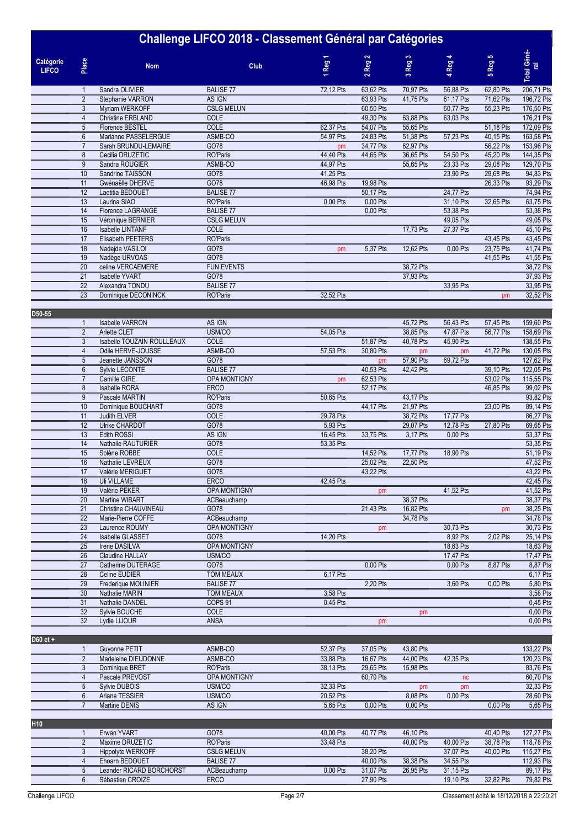|                           |                | м                        |                   |                                      |                            | w                            |                        |              |                    |
|---------------------------|----------------|--------------------------|-------------------|--------------------------------------|----------------------------|------------------------------|------------------------|--------------|--------------------|
| Catégorie<br><b>LIFCO</b> | Place          | <b>Nom</b>               | Club              | ↽<br>Reg<br>$\overline{\phantom{0}}$ | Reg <sub>2</sub><br>$\sim$ | Reg <sub>3</sub><br>$\infty$ | Reg 4<br>$\rightarrow$ | Reg 5<br>io. | Total Géné-<br>ral |
|                           |                | Sandra OLIVIER           | <b>BALISE 77</b>  | 72,12 Pts                            | 63,62 Pts                  | 70,97 Pts                    | 56,88 Pts              | 62,80 Pts    | 206,71 Pts         |
|                           | $\overline{2}$ | Stephanie VARRON         | AS IGN            |                                      | 63,93 Pts                  | 41,75 Pts                    | 61,17 Pts              | 71,62 Pts    | 196,72 Pts         |
|                           | $\mathbf{3}$   | Myriam WERKOFF           | <b>CSLG MELUN</b> |                                      | 60,50 Pts                  |                              | 60,77 Pts              | 55,23 Pts    | 176,50 Pts         |
|                           | 4              | <b>Christine ERBLAND</b> | COLE              |                                      | 49,30 Pts                  | 63,88 Pts                    | 63,03 Pts              |              | 176,21 Pts         |
|                           | 5              | Florence BESTEL          | COLE              | 62,37 Pts                            | 54,07 Pts                  | 55,65 Pts                    |                        | 51,18 Pts    | 172,09 Pts         |
|                           | $6\phantom{1}$ | Marianne PASSELERGUE     | ASMB-CO           | 54,97 Pts                            | 24,83 Pts                  | 51,38 Pts                    | 57,23 Pts              | 40,15 Pts    | 163,58 Pts         |
|                           |                | Sarah BRUNDU-LEMAIRE     | GO78              | <b>pm</b>                            | 34,77 Pts                  | 62,97 Pts                    |                        | 56,22 Pts    | 153,96 Pts         |
|                           | 8              | Cecilia DRUZETIC         | RO'Paris          | 44,40 Pts                            | 44,65 Pts                  | 36,65 Pts                    | 54,50 Pts              | 45,20 Pts    | 144,35 Pts         |
|                           | 9              | Sandra ROUGIER           | ASMB-CO           | 44.97 Pts                            |                            | 55,65 Pts                    | 23.33 Pts              | 29,08 Pts    | 129,70 Pts         |
|                           | 10             | Sandrine TAISSON         | GO78              | 41,25 Pts                            |                            |                              | 23,90 Pts              | 29,68 Pts    | 94,83 Pts          |
|                           | 11             | Gwénaëlle DHERVE         | GO78              | 46,98 Pts                            | 19,98 Pts                  |                              |                        | 26,33 Pts    | 93,29 Pts          |
|                           | 12             | Laetitia BEDOUET         | <b>BALISE 77</b>  |                                      | 50,17 Pts                  |                              | 24,77 Pts              |              | 74,94 Pts          |
|                           | 13             | Laurina SIAO             | RO'Paris          | 0,00 Pts                             | 0,00 Pts                   |                              | 31,10 Pts              | 32,65 Pts    | 63,75 Pts          |
|                           | 14             | Florence LAGRANGE        | <b>BALISE 77</b>  |                                      | 0,00 Pts                   |                              | 53,38 Pts              |              | 53,38 Pts          |
|                           | 15             | Véronique BERNIER        | <b>CSLG MELUN</b> |                                      |                            |                              | 49.05 Pts              |              | 49,05 Pts          |
|                           | 16             | <b>Isabelle LINTANF</b>  | COLE              |                                      |                            | 17,73 Pts                    | 27,37 Pts              |              | 45,10 Pts          |
|                           | 17             | Elisabeth PEETERS        | RO'Paris          |                                      |                            |                              |                        | 43,45 Pts    | 43,45 Pts          |
|                           | 18             | Nadejda VASILOI          | GO78              | pm                                   | 5,37 Pts                   | 12,62 Pts                    | 0,00 Pts               | 23,75 Pts    | 41,74 Pts          |
|                           | 19             | Nadège URVOAS            | GO78              |                                      |                            |                              |                        | 41,55 Pts    | 41,55 Pts          |
|                           | 20             | celine VERCAEMERE        | <b>FUN EVENTS</b> |                                      |                            | 38,72 Pts                    |                        |              | 38,72 Pts          |
|                           | 21             | <b>Isabelle YVART</b>    | GO78              |                                      |                            | 37,93 Pts                    |                        |              | 37,93 Pts          |
|                           | 22             | Alexandra TONDU          | <b>BALISE 77</b>  |                                      |                            |                              | 33,95 Pts              |              | 33,95 Pts          |
|                           | 23             | Dominique DECONINCK      | <b>RO'Paris</b>   | 32,52 Pts                            |                            |                              |                        | pm           | 32,52 Pts          |
|                           |                |                          |                   |                                      |                            |                              |                        |              |                    |

| D50-55   |                 |                            |                     |           |           |           |           |           |            |
|----------|-----------------|----------------------------|---------------------|-----------|-----------|-----------|-----------|-----------|------------|
|          | 1               | <b>Isabelle VARRON</b>     | AS IGN              |           |           | 45,72 Pts | 56,43 Pts | 57,45 Pts | 159,60 Pts |
|          | $\overline{2}$  | <b>Arlette CLET</b>        | USM/CO              | 54,05 Pts |           | 38,85 Pts | 47,87 Pts | 56,77 Pts | 158,69 Pts |
|          | 3               | Isabelle TOUZAIN ROULLEAUX | COLE                |           | 51,87 Pts | 40,78 Pts | 45,90 Pts |           | 138,55 Pts |
|          | $\overline{4}$  | Odile HERVE-JOUSSE         | ASMB-CO             | 57,53 Pts | 30,80 Pts | pm        | pm        | 41,72 Pts | 130,05 Pts |
|          | 5               | Jeanette JANSSON           | GO78                |           | pm        | 57,90 Pts | 69,72 Pts |           | 127,62 Pts |
|          | 6               | Sylvie LECONTE             | <b>BALISE 77</b>    |           | 40,53 Pts | 42,42 Pts |           | 39,10 Pts | 122,05 Pts |
|          | $\overline{7}$  | Camille GIRE               | OPA MONTIGNY        | <b>pm</b> | 62,53 Pts |           |           | 53.02 Pts | 115,55 Pts |
|          | 8               | <b>Isabelle RORA</b>       | <b>ERCO</b>         |           | 52,17 Pts |           |           | 46,85 Pts | 99,02 Pts  |
|          | 9               | Pascale MARTIN             | RO'Paris            | 50,65 Pts |           | 43,17 Pts |           |           | 93,82 Pts  |
|          | 10              | Dominique BOUCHART         | GO78                |           | 44.17 Pts | 21,97 Pts |           | 23.00 Pts | 89,14 Pts  |
|          | 11              | <b>Judith ELVER</b>        | COLE                | 29,78 Pts |           | 38,72 Pts | 17,77 Pts |           | 86,27 Pts  |
|          | 12              | <b>Ulrike CHARDOT</b>      | GO78                | 5,93 Pts  |           | 29,07 Pts | 12,78 Pts | 27,80 Pts | 69,65 Pts  |
|          | 13              | <b>Edith ROSSI</b>         | AS IGN              | 16,45 Pts | 33,75 Pts | 3,17 Pts  | 0,00 Pts  |           | 53,37 Pts  |
|          | $\overline{14}$ | Nathalie RAUTURIER         | GO78                | 53,35 Pts |           |           |           |           | 53,35 Pts  |
|          | 15              | Solène ROBBE               | COLE                |           | 14,52 Pts | 17,77 Pts | 18,90 Pts |           | 51,19 Pts  |
|          | 16              | Nathalie LEVREUX           | GO78                |           | 25,02 Pts | 22,50 Pts |           |           | 47,52 Pts  |
|          | 17              | Valérie MERIGUET           | GO78                |           | 43,22 Pts |           |           |           | 43,22 Pts  |
|          | 18              | <b>Uli VILLAME</b>         | <b>ERCO</b>         | 42,45 Pts |           |           |           |           | 42,45 Pts  |
|          | 19              | Valérie PEKER              | <b>OPA MONTIGNY</b> |           | pm        |           | 41,52 Pts |           | 41,52 Pts  |
|          | 20              | Martine WIBART             | ACBeauchamp         |           |           | 38,37 Pts |           |           | 38,37 Pts  |
|          | 21              | Christine CHAUVINEAU       | GO78                |           | 21,43 Pts | 16,82 Pts |           | pm        | 38,25 Pts  |
|          | 22              | Marie-Pierre COFFE         | ACBeauchamp         |           |           | 34,78 Pts |           |           | 34,78 Pts  |
|          | 23              | Laurence ROUMY             | OPA MONTIGNY        |           | pm        |           | 30,73 Pts |           | 30,73 Pts  |
|          | 24              | Isabelle GLASSET           | GO78                | 14,20 Pts |           |           | 8,92 Pts  | 2,02 Pts  | 25,14 Pts  |
|          | 25              | <b>Irene DASILVA</b>       | <b>OPA MONTIGNY</b> |           |           |           | 18,63 Pts |           | 18,63 Pts  |
|          | $\overline{26}$ | <b>Claudine HALLAY</b>     | USM/CO              |           |           |           | 17,47 Pts |           | 17,47 Pts  |
|          | 27              | Catherine DUTERAGE         | GO78                |           | 0,00 Pts  |           | 0,00 Pts  | 8,87 Pts  | 8,87 Pts   |
|          | 28              | Celine EUDIER              | <b>TOM MEAUX</b>    | 6,17 Pts  |           |           |           |           | 6,17 Pts   |
|          | $\overline{29}$ | Frederique MOLINIER        | <b>BALISE 77</b>    |           | 2,20 Pts  |           | 3,60 Pts  | 0,00 Pts  | 5,80 Pts   |
|          | 30              | Nathalie MARIN             | <b>TOM MEAUX</b>    | 3,58 Pts  |           |           |           |           | 3,58 Pts   |
|          | $\overline{31}$ | Nathalie DANDEL            | COPS <sub>91</sub>  | 0,45 Pts  |           |           |           |           | 0,45 Pts   |
|          | 32              | Sylvie BOUCHE              | COLE                |           |           | pm        |           |           | 0,00 Pts   |
|          | 32              | Lydie LIJOUR               | <b>ANSA</b>         |           | <b>pm</b> |           |           |           | 0,00 Pts   |
|          |                 |                            |                     |           |           |           |           |           |            |
| D60 et + |                 |                            |                     |           |           |           |           |           |            |
|          | $\mathbf{1}$    | <b>Guvonne PETIT</b>       | ASMB-CO             | 52.37 Pts | 37.05 Pts | 43.80 Pts |           |           | 133.22 Pts |

|  | Guvonne PETIT       | ASMB-CO             | 52.37 Pts | 37.05 Pts | 43.80 Pts |            |          | 133.22 Pts |
|--|---------------------|---------------------|-----------|-----------|-----------|------------|----------|------------|
|  | Madeleine DIEUDONNE | ASMB-CO             | 33.88 Pts | 16.67 Pts | 44.00 Pts | 42.35 Pts  |          | 120.23 Pts |
|  | Dominique BRET      | RO'Paris            | 38.13 Pts | 29.65 Pts | 15.98 Pts |            |          | 83.76 Pts  |
|  | Pascale PREVOST     | <b>OPA MONTIGNY</b> |           | 60.70 Pts |           | nc         |          | 60.70 Pts  |
|  | Sylvie DUBOIS       | USM/CO              | 32.33 Pts |           | pm        | <b>pm</b>  |          | 32.33 Pts  |
|  | Ariane TESSIER      | USM/CO              | 20.52 Pts |           | 8.08 Pts  | $0.00$ Pts |          | 28,60 Pts  |
|  | Martine DENIS       | AS IGN              | 5.65 Pts  | 0.00 Pts  | 0.00 Pts  |            | 0.00 Pts | 5,65 Pts   |

0  $0$  0  $0$  0  $0$  0  $0$  0  $0$ 

**H10 0 0 0 0 0 0 0** Erwan YVART GO78 40,00 Pts 40,77 Pts 46,10 Pts 0 40,40 Pts 127,27 Pts 2 Maxime DRUZETIC 6078 6078 40,00 Pts 40,77 Pts 46,10 Pts 40,00 Pts 40,40 Pts 127,27 Pts 40,40 Pts 127,27 Pts 40,00 Pts 127,27 Pts 40,00 Pts 118,78 Pts 118,78 Pts 38,78 Pts 118,78 Pts 38,78 Pts 118,78 Pts 38,78 Pts 118,78 115 Hippolyte WERKOFF CSLG MELUN 38,20 Pts 37,07 Pts 40,00 Pts 115,27 Pts<br>
Ehoam BEDOUET BALISE 77 40,00 Pts 38,38 Pts 34,55 Pts 112,93 Pts<br>
Leander RICARD BORCHORST ACBeauchamp 0,00 Pts 31,07 Pts 26,95 Pts 31,15 Pts 89,17 4 Ehoarn BEDOUET BALISE 77 40,00 Pts 38,38 Pts 34,55 Pts 46,000 Pts 38,38 Pts 34,55 Pts 46,000 Pts 31,07 Pts 26,95 Pts 31,15 Pts Leander RICARD BORCHORST ACBeauchamp 0,00 Pts 31,07 Pts 26,95 Pts 31,15 Pts 89,17 Pts 89,17 Pts 32,82 Pts 89,17 Pts 0 89,17 Pts 32,82 Pts 79,82 Pts 6 89,17 Pts 0 89,17 Pts 32,82 Pts 79,82 Pts 79,82 Pts 79,82 Pts 79,82 Pts 6 Sébastien CROIZE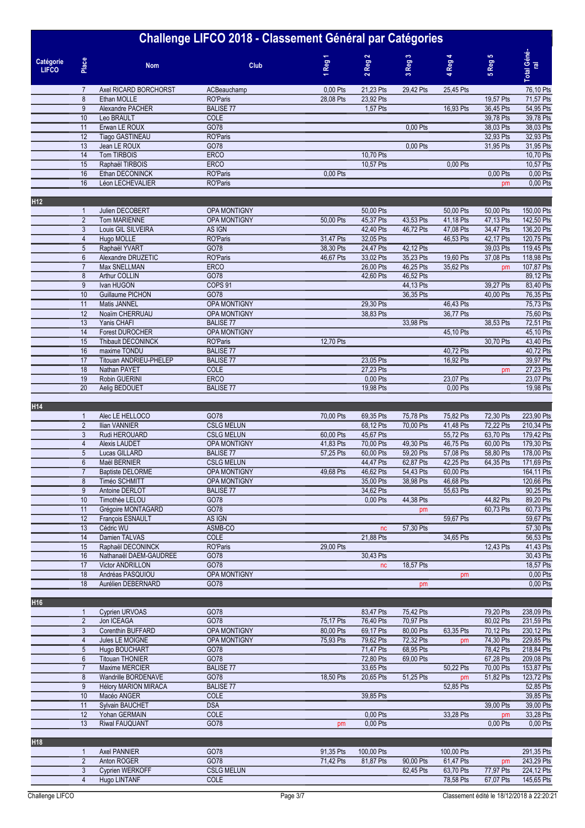| Challenge LIFCO 2018 - Classement Général par Catégories |                                    |                                          |                                        |           |                        |                        |                        |                        |                          |
|----------------------------------------------------------|------------------------------------|------------------------------------------|----------------------------------------|-----------|------------------------|------------------------|------------------------|------------------------|--------------------------|
| Catégorie<br><b>LIFCO</b>                                | Place                              | <b>Nom</b>                               | Club                                   | 1 Reg 1   | $2$ Reg $2$            | 3 Reg <sub>3</sub>     | 4 Reg 4                | 5 Reg 5                | Total Géné-<br>ral       |
|                                                          | $\overline{7}$                     | Axel RICARD BORCHORST                    | ACBeauchamp                            | 0,00 Pts  | 21,23 Pts              | 29,42 Pts              | 25,45 Pts              |                        | 76,10 Pts                |
|                                                          | $\bf 8$                            | Ethan MOLLE                              | RO'Paris                               | 28,08 Pts | 23,92 Pts              |                        |                        | 19,57 Pts              | 71,57 Pts                |
|                                                          | $9\,$                              | Alexandre PACHER                         | <b>BALISE 77</b>                       |           | 1,57 Pts               |                        | 16,93 Pts              | 36,45 Pts              | 54,95 Pts                |
|                                                          | 10<br>11                           | Leo BRAULT<br>Erwan LE ROUX              | COLE<br>GO78                           |           |                        | 0,00 Pts               |                        | 39,78 Pts<br>38,03 Pts | 39,78 Pts<br>38,03 Pts   |
|                                                          | 12                                 | <b>Tiago GASTINEAU</b>                   | RO'Paris                               |           |                        |                        |                        | 32,93 Pts              | 32,93 Pts                |
|                                                          | 13                                 | Jean LE ROUX                             | GO78                                   |           |                        | 0.00 Pts               |                        | 31,95 Pts              | 31,95 Pts                |
|                                                          | 14                                 | Tom TIRBOIS                              | <b>ERCO</b>                            |           | 10,70 Pts              |                        |                        |                        | 10,70 Pts                |
|                                                          | 15                                 | Raphaël TIRBOIS                          | <b>ERCO</b>                            |           | 10,57 Pts              |                        | 0,00 Pts               |                        | 10,57 Pts                |
|                                                          | 16                                 | Ethan DECONINCK                          | RO'Paris                               | 0,00 Pts  |                        |                        |                        | 0,00 Pts               | 0,00 Pts                 |
|                                                          | 16                                 | Léon LECHEVALIER                         | RO'Paris                               |           |                        |                        |                        | pm                     | $0,00$ Pts               |
| H <sub>12</sub>                                          | $\mathbf{1}$                       | Julien DECOBERT                          | OPA MONTIGNY                           |           | 50,00 Pts              |                        | 50,00 Pts              | 50,00 Pts              | 150,00 Pts               |
|                                                          | $\overline{2}$                     | <b>Tom MARIENNE</b>                      | <b>OPA MONTIGNY</b>                    | 50,00 Pts | 45,37 Pts              | 43,53 Pts              | 41,18 Pts              | 47,13 Pts              | 142,50 Pts               |
|                                                          | $\mathbf{3}$                       | Louis GIL SILVEIRA                       | AS IGN                                 |           | 42,40 Pts              | 46,72 Pts              | 47,08 Pts              | 34,47 Pts              | 136,20 Pts               |
|                                                          | $\overline{4}$                     | Hugo MOLLE                               | RO'Paris                               | 31,47 Pts | 32,05 Pts              |                        | 46,53 Pts              | 42,17 Pts              | 120,75 Pts               |
|                                                          | $\sqrt{5}$                         | Raphaël YVART                            | GO78                                   | 38,30 Pts | 24,47 Pts              | 42,12 Pts              |                        | 39,03 Pts              | 119,45 Pts               |
|                                                          | $\boldsymbol{6}$                   | Alexandre DRUZETIC                       | RO'Paris                               | 46,67 Pts | 33,02 Pts              | 35,23 Pts              | 19,60 Pts              | 37,08 Pts              | 118,98 Pts               |
|                                                          | $\overline{7}$<br>8                | Max SNELLMAN<br>Arthur COLLIN            | <b>ERCO</b><br>GO78                    |           | 26,00 Pts              | 46,25 Pts              | 35,62 Pts              | pm                     | 107,87 Pts<br>89,12 Pts  |
|                                                          | $\overline{9}$                     | Ivan HUGON                               | COPS <sub>91</sub>                     |           | 42,60 Pts              | 46,52 Pts<br>44,13 Pts |                        | 39,27 Pts              | 83,40 Pts                |
|                                                          | 10                                 | Guillaume PICHON                         | GO78                                   |           |                        | 36,35 Pts              |                        | 40,00 Pts              | 76,35 Pts                |
|                                                          | 11                                 | Matis JANNEL                             | <b>OPA MONTIGNY</b>                    |           | 29,30 Pts              |                        | 46,43 Pts              |                        | 75,73 Pts                |
|                                                          | 12                                 | Noaïm CHERRUAU                           | <b>OPA MONTIGNY</b>                    |           | 38,83 Pts              |                        | 36.77 Pts              |                        | 75,60 Pts                |
|                                                          | 13                                 | Yanis CHAFI                              | <b>BALISE 77</b>                       |           |                        | 33,98 Pts              |                        | 38,53 Pts              | 72,51 Pts                |
|                                                          | 14                                 | <b>Forest DUROCHER</b>                   | OPA MONTIGNY                           |           |                        |                        | 45,10 Pts              |                        | 45,10 Pts                |
|                                                          | 15<br>16                           | Thibault DECONINCK<br>maxime TONDU       | RO'Paris<br><b>BALISE 77</b>           | 12,70 Pts |                        |                        | 40,72 Pts              | 30,70 Pts              | 43,40 Pts<br>40,72 Pts   |
|                                                          | 17                                 | Titouan ANDRIEU-PHELEP                   | <b>BALISE 77</b>                       |           | 23,05 Pts              |                        | 16,92 Pts              |                        | 39,97 Pts                |
|                                                          | 18                                 | Nathan PAYET                             | COLE                                   |           | 27,23 Pts              |                        |                        | pm                     | 27,23 Pts                |
|                                                          | 19                                 | Robin GUERINI                            | <b>ERCO</b>                            |           | 0,00 Pts               |                        | 23,07 Pts              |                        | 23,07 Pts                |
|                                                          | 20                                 | Aelig BEDOUET                            | <b>BALISE 77</b>                       |           | 19,98 Pts              |                        | 0,00 Pts               |                        | 19,98 Pts                |
| H14                                                      |                                    |                                          |                                        |           |                        |                        |                        |                        |                          |
|                                                          | $\mathbf{1}$                       | Alec LE HELLOCO                          | GO78                                   | 70,00 Pts | 69,35 Pts              | 75,78 Pts              | 75,82 Pts              | 72,30 Pts              | 223,90 Pts               |
|                                                          | $\overline{2}$<br>3                | Ilian VANNIER<br>Rudi HEROUARD           | <b>CSLG MELUN</b><br><b>CSLG MELUN</b> | 60,00 Pts | 68,12 Pts<br>45,67 Pts | 70,00 Pts              | 41,48 Pts<br>55,72 Pts | 72,22 Pts<br>63,70 Pts | 210,34 Pts<br>179,42 Pts |
|                                                          | $\overline{4}$                     | <b>Alexis LAUDET</b>                     | OPA MONTIGNY                           | 41,83 Pts | 70,00 Pts              | 49,30 Pts              | 46,75 Pts              | 60,00 Pts              | 179,30 Pts               |
|                                                          | $\overline{5}$                     | Lucas GILLARD                            | <b>BALISE 77</b>                       | 57,25 Pts | 60,00 Pts              | 59,20 Pts              | 57,08 Pts              | 58,80 Pts              | 178,00 Pts               |
|                                                          | $6\,$                              | Maël BERNIER                             | <b>CSLG MELUN</b>                      |           | 44,47 Pts              | 62,87 Pts              | 42,25 Pts              | 64,35 Pts              | 171,69 Pts               |
|                                                          | $\overline{7}$                     | <b>Baptiste DELORME</b>                  | OPA MONTIGNY                           | 49,68 Pts | 46,62 Pts              | 54,43 Pts              | 60,00 Pts              |                        | 164,11 Pts               |
|                                                          | 8                                  | Timéo SCHMITT                            | OPA MONTIGNY                           |           | 35,00 Pts              | 38,98 Pts              | 46,68 Pts              |                        | 120,66 Pts               |
|                                                          | $\overline{9}$                     | Antoine DERLOT                           | <b>BALISE 77</b>                       |           | 34,62 Pts              |                        | 55,63 Pts              |                        | 90,25 Pts                |
|                                                          | 10<br>11                           | Timothée LELOU<br>Grégoire MONTAGARD     | GO78<br>GO78                           |           | 0,00 Pts               | 44,38 Pts<br>pm        |                        | 44,82 Pts<br>60,73 Pts | 89,20 Pts<br>60,73 Pts   |
|                                                          | 12                                 | Francois ESNAULT                         | AS IGN                                 |           |                        |                        | 59,67 Pts              |                        | 59,67 Pts                |
|                                                          | 13                                 | Cédric WU                                | ASMB-CO                                |           | nc                     | 57,30 Pts              |                        |                        | 57,30 Pts                |
|                                                          | 14                                 | Damien TALVAS                            | <b>COLE</b>                            |           | 21,88 Pts              |                        | 34,65 Pts              |                        | 56,53 Pts                |
|                                                          | 15                                 | Raphaël DECONINCK                        | RO'Paris                               | 29,00 Pts |                        |                        |                        | 12,43 Pts              | 41,43 Pts                |
|                                                          | 16                                 | Nathanaël DAEM-GAUDREE                   | GO78                                   |           | 30,43 Pts              |                        |                        |                        | 30,43 Pts                |
|                                                          | 17<br>18                           | Victor ANDRILLON<br>Andréas PASQUIOU     | GO78<br>OPA MONTIGNY                   |           | nc                     | 18,57 Pts              |                        |                        | 18,57 Pts<br>0,00 Pts    |
|                                                          | 18                                 | Aurélien DEBERNARD                       | GO78                                   |           |                        | pm                     | pm                     |                        | 0,00 Pts                 |
| H <sub>16</sub>                                          |                                    |                                          |                                        |           |                        |                        |                        |                        |                          |
|                                                          | $\mathbf{1}$                       | Cyprien URVOAS                           | GO78                                   |           | 83,47 Pts              | 75,42 Pts              |                        | 79,20 Pts              | 238,09 Pts               |
|                                                          | $\overline{2}$                     | Jon ICEAGA                               | GO78                                   | 75,17 Pts | 76,40 Pts              | 70,97 Pts              |                        | 80,02 Pts              | 231,59 Pts               |
|                                                          | 3                                  | Corenthin BUFFARD                        | <b>OPA MONTIGNY</b>                    | 80,00 Pts | 69,17 Pts              | 80,00 Pts              | 63,35 Pts              | 70,12 Pts              | 230,12 Pts               |
|                                                          | $\overline{4}$                     | Jules LE MOIGNE                          | OPA MONTIGNY                           | 75,93 Pts | 79,62 Pts              | 72,32 Pts              | pm                     | 74,30 Pts              | 229,85 Pts               |
|                                                          | $\overline{5}$                     | Hugo BOUCHART                            | GO78                                   |           | 71,47 Pts              | 68,95 Pts              |                        | 78,42 Pts              | 218,84 Pts               |
|                                                          | $\boldsymbol{6}$<br>$\overline{7}$ | <b>Titouan THONIER</b><br>Maxime MERCIER | GO78<br><b>BALISE 77</b>               |           | 72,80 Pts<br>33,65 Pts | 69,00 Pts              | 50,22 Pts              | 67,28 Pts<br>70,00 Pts | 209,08 Pts<br>153,87 Pts |
|                                                          | 8                                  | Wandrille BORDENAVE                      | GO78                                   | 18,50 Pts | 20,65 Pts              | 51,25 Pts              | pm                     | 51,82 Pts              | 123,72 Pts               |
|                                                          | $9\,$                              | <b>Hélory MARION MIRACA</b>              | <b>BALISE 77</b>                       |           |                        |                        | 52,85 Pts              |                        | 52,85 Pts                |
|                                                          | 10                                 | Macéo ANGER                              | <b>COLE</b>                            |           | 39,85 Pts              |                        |                        |                        | 39,85 Pts                |
|                                                          | 11                                 | Sylvain BAUCHET                          | <b>DSA</b>                             |           |                        |                        |                        | 39,00 Pts              | 39,00 Pts                |
|                                                          | 12                                 | Yohan GERMAIN                            | <b>COLE</b>                            |           | 0,00 Pts               |                        | 33,28 Pts              | pm                     | 33,28 Pts                |
|                                                          | 13                                 | <b>Riwal FAUQUANT</b>                    | GO78                                   | pm        | 0,00 Pts               |                        |                        | 0,00 Pts               | 0,00 Pts                 |
| H <sub>18</sub>                                          |                                    |                                          |                                        |           |                        |                        |                        |                        |                          |
|                                                          | $\mathbf{1}$                       | Axel PANNIER                             | GO78                                   | 91,35 Pts | 100,00 Pts             |                        | 100,00 Pts             |                        | 291,35 Pts               |
|                                                          | $\overline{2}$                     | Anton ROGER                              | GO78                                   | 71,42 Pts | 81,87 Pts              | 90,00 Pts              | 61,47 Pts              | pm                     | 243,29 Pts               |

| Challenge LIFCO |  |
|-----------------|--|

 Cyprien WERKOFF CSLG MELUN 0 0 82,45 Pts 63,70 Pts 77,97 Pts 224,12 Pts Hugo LINTANF COLE 0 0 0 78,58 Pts 67,07 Pts 145,65 Pts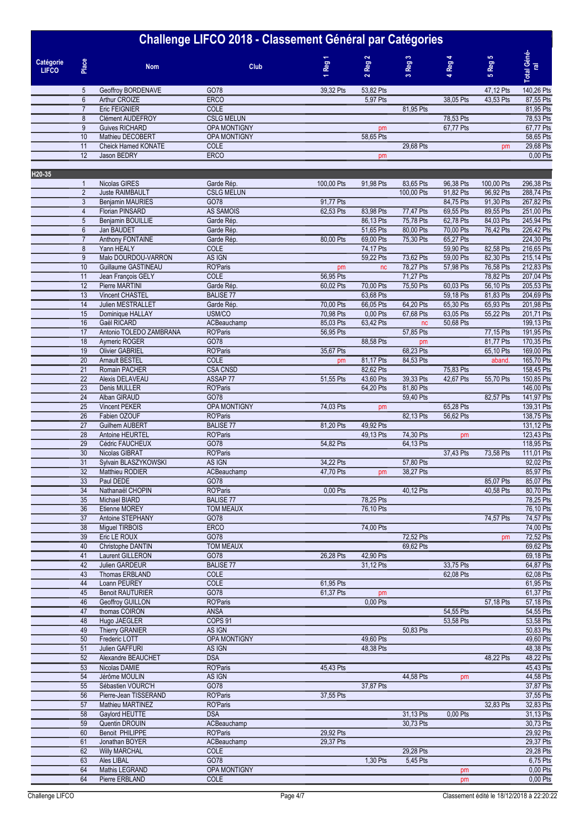| Catégorie<br><b>LIFCO</b> | Place | <b>Nom</b>                 | <b>Club</b>         | $\overline{\phantom{0}}$<br><b>Reg</b><br>$\overline{\phantom{0}}$ | $\mathbf{N}$<br><b>Reg</b><br>$\sim$ | $\infty$<br><b>Reg</b><br>$\infty$ | $\overline{\phantom{a}}$<br><b>Reg</b><br>$\rightarrow$ | 5<br><b>Reg</b><br>in. | Total Géné-<br>ral |
|---------------------------|-------|----------------------------|---------------------|--------------------------------------------------------------------|--------------------------------------|------------------------------------|---------------------------------------------------------|------------------------|--------------------|
|                           | 5     | Geoffroy BORDENAVE         | GO78                | 39,32 Pts                                                          | 53,82 Pts                            |                                    |                                                         | 47,12 Pts              | 140,26 Pts         |
|                           | 6     | Arthur CROIZE              | <b>ERCO</b>         |                                                                    | 5,97 Pts                             |                                    | 38,05 Pts                                               | 43,53 Pts              | 87,55 Pts          |
|                           |       | <b>Eric FEIGNIER</b>       | <b>COLE</b>         |                                                                    |                                      | 81,95 Pts                          |                                                         |                        | 81,95 Pts          |
|                           | 8     | <b>Clément AUDEFROY</b>    | <b>CSLG MELUN</b>   |                                                                    |                                      |                                    | 78,53 Pts                                               |                        | 78,53 Pts          |
|                           | 9     | Guives RICHARD             | <b>OPA MONTIGNY</b> |                                                                    | pm                                   |                                    | 67,77 Pts                                               |                        | 67,77 Pts          |
|                           | 10    | Mathieu DECOBERT           | <b>OPA MONTIGNY</b> |                                                                    | 58,65 Pts                            |                                    |                                                         |                        | 58,65 Pts          |
|                           | 11    | <b>Cheick Hamed KONATE</b> | <b>COLE</b>         |                                                                    |                                      | 29,68 Pts                          |                                                         | <b>pm</b>              | 29,68 Pts          |
|                           | 12    | Jason BEDRY                | <b>ERCO</b>         |                                                                    | pm                                   |                                    |                                                         |                        | 0,00 Pts           |
|                           |       |                            |                     |                                                                    |                                      |                                    |                                                         |                        |                    |

| H20-35 |                  |                         |                     |            |           |            |           |            |            |
|--------|------------------|-------------------------|---------------------|------------|-----------|------------|-----------|------------|------------|
|        | $\mathbf{1}$     | Nicolas GIRES           | Garde Rép.          | 100,00 Pts | 91,98 Pts | 83,65 Pts  | 96,38 Pts | 100,00 Pts | 296,38 Pts |
|        | $\overline{2}$   | <b>Juste RAIMBAULT</b>  | <b>CSLG MELUN</b>   |            |           | 100,00 Pts | 91,82 Pts | 96,92 Pts  | 288,74 Pts |
|        | 3                | <b>Benjamin MAURIES</b> | GO78                | 91,77 Pts  |           |            | 84,75 Pts | 91,30 Pts  | 267,82 Pts |
|        | $\overline{4}$   | Florian PINSARD         | AS SAMOIS           | 62,53 Pts  | 83,98 Pts | 77,47 Pts  | 69,55 Pts | 89,55 Pts  | 251,00 Pts |
|        |                  |                         |                     |            |           |            |           |            |            |
|        | 5                | Benjamin BOUILLIE       | Garde Rép.          |            | 86,13 Pts | 75,78 Pts  | 62,78 Pts | 84,03 Pts  | 245,94 Pts |
|        | $\boldsymbol{6}$ | Jan BAUDET              | Garde Rép.          |            | 51,65 Pts | 80,00 Pts  | 70,00 Pts | 76,42 Pts  | 226,42 Pts |
|        | $\overline{7}$   | Anthony FONTAINE        | Garde Rép.          | 80,00 Pts  | 69,00 Pts | 75,30 Pts  | 65,27 Pts |            | 224,30 Pts |
|        | $\bf 8$          | Yann HEALY              | COLE                |            | 74,17 Pts |            | 59,90 Pts | 82,58 Pts  | 216,65 Pts |
|        | 9                | Malo DOURDOU-VARRON     | AS IGN              |            | 59,22 Pts | 73,62 Pts  | 59,00 Pts | 82,30 Pts  | 215,14 Pts |
|        | 10               | Guillaume GASTINEAU     | RO'Paris            | pm         | nc        | 78,27 Pts  | 57,98 Pts | 76,58 Pts  | 212,83 Pts |
|        | 11               | Jean François GELY      | <b>COLE</b>         | 56,95 Pts  |           | 71,27 Pts  |           | 78,82 Pts  | 207,04 Pts |
|        | 12               | Pierre MARTINI          | Garde Rép.          | 60,02 Pts  | 70,00 Pts | 75,50 Pts  | 60,03 Pts | 56,10 Pts  | 205,53 Pts |
|        | 13               | <b>Vincent CHASTEL</b>  | <b>BALISE 77</b>    |            | 63,68 Pts |            | 59,18 Pts | 81,83 Pts  | 204,69 Pts |
|        | 14               | Julien MESTRALLET       | Garde Rép.          | 70,00 Pts  | 66.05 Pts | 64,20 Pts  | 65,30 Pts | 65,93 Pts  | 201,98 Pts |
|        | 15               |                         | USM/CO              | 70,98 Pts  | 0,00 Pts  | 67,68 Pts  |           | 55,22 Pts  | 201,71 Pts |
|        |                  | Dominique HALLAY        |                     |            |           |            | 63,05 Pts |            |            |
|        | 16               | Gaël RICARD             | ACBeauchamp         | 85,03 Pts  | 63,42 Pts | nc         | 50,68 Pts |            | 199,13 Pts |
|        | 17               | Antonio TOLEDO ZAMBRANA | RO'Paris            | 56,95 Pts  |           | 57,85 Pts  |           | 77,15 Pts  | 191,95 Pts |
|        | 18               | Aymeric ROGER           | GO78                |            | 88,58 Pts | pm         |           | 81,77 Pts  | 170,35 Pts |
|        | 19               | <b>Olivier GABRIEL</b>  | RO'Paris            | 35,67 Pts  |           | 68,23 Pts  |           | 65,10 Pts  | 169,00 Pts |
|        | $\overline{20}$  | <b>Arnault BESTEL</b>   | COLE                | pm         | 81,17 Pts | 84,53 Pts  |           | aband.     | 165,70 Pts |
|        | 21               | Romain PACHER           | <b>CSA CNSD</b>     |            | 82.62 Pts |            | 75,83 Pts |            | 158,45 Pts |
|        | 22               | Alexis DELAVEAU         | ASSAP 77            | 51,55 Pts  | 43,60 Pts | 39,33 Pts  | 42,67 Pts | 55,70 Pts  | 150,85 Pts |
|        | $\overline{23}$  | Denis MULLER            | RO'Paris            |            | 64,20 Pts | 81.80 Pts  |           |            | 146.00 Pts |
|        | 24               | Alban GIRAUD            | GO78                |            |           | 59,40 Pts  |           | 82,57 Pts  | 141,97 Pts |
|        | $\overline{25}$  | Vincent PEKER           | OPA MONTIGNY        | 74,03 Pts  |           |            | 65,28 Pts |            | 139,31 Pts |
|        |                  |                         |                     |            | pm        |            |           |            |            |
|        | 26               | Fabien OZOUF            | RO'Paris            |            |           | 82,13 Pts  | 56,62 Pts |            | 138,75 Pts |
|        | 27               | Guilhem AUBERT          | <b>BALISE 77</b>    | 81,20 Pts  | 49,92 Pts |            |           |            | 131,12 Pts |
|        | $\overline{28}$  | <b>Antoine HEURTEL</b>  | <b>RO'Paris</b>     |            | 49,13 Pts | 74,30 Pts  | pm        |            | 123.43 Pts |
|        | $\overline{29}$  | Cédric FAUCHEUX         | GO78                | 54,82 Pts  |           | 64,13 Pts  |           |            | 118,95 Pts |
|        | 30               | Nicolas GIBRAT          | RO'Paris            |            |           |            | 37,43 Pts | 73,58 Pts  | 111,01 Pts |
|        | 31               | Sylvain BLASZYKOWSKI    | AS IGN              | 34,22 Pts  |           | 57,80 Pts  |           |            | 92,02 Pts  |
|        | 32               | Matthieu RODIER         | ACBeauchamp         | 47,70 Pts  | pm        | 38,27 Pts  |           |            | 85,97 Pts  |
|        | 33               | Paul DEDE               | GO78                |            |           |            |           | 85,07 Pts  | 85,07 Pts  |
|        | 34               | Nathanaël CHOPIN        | RO'Paris            | 0,00 Pts   |           | 40,12 Pts  |           | 40,58 Pts  | 80,70 Pts  |
|        | 35               | Michael BIARD           | <b>BALISE 77</b>    |            | 78,25 Pts |            |           |            | 78,25 Pts  |
|        | 36               | Etienne MOREY           | <b>TOM MEAUX</b>    |            | 76,10 Pts |            |           |            | 76,10 Pts  |
|        |                  |                         |                     |            |           |            |           |            |            |
|        | $\overline{37}$  | Antoine STEPHANY        | GO78                |            |           |            |           | 74,57 Pts  | 74,57 Pts  |
|        | 38               | Miguel TIRBOIS          | ERCO                |            | 74,00 Pts |            |           |            | 74,00 Pts  |
|        | 39               | Eric LE ROUX            | GO78                |            |           | 72,52 Pts  |           | pm         | 72,52 Pts  |
|        | 40               | Christophe DANTIN       | <b>TOM MEAUX</b>    |            |           | 69,62 Pts  |           |            | 69,62 Pts  |
|        | 41               | Laurent GILLERON        | GO78                | 26,28 Pts  | 42,90 Pts |            |           |            | 69,18 Pts  |
|        | 42               | Julien GARDEUR          | <b>BALISE 77</b>    |            | 31,12 Pts |            | 33,75 Pts |            | 64,87 Pts  |
|        | 43               | Thomas ERBLAND          | COLE                |            |           |            | 62,08 Pts |            | 62,08 Pts  |
|        | 44               | Loann PEUREY            | COLE                | 61,95 Pts  |           |            |           |            | 61,95 Pts  |
|        | 45               | <b>Benoit RAUTURIER</b> | GO78                | 61,37 Pts  | pm        |            |           |            | 61,37 Pts  |
|        | 46               | Geoffroy GUILLON        | RO'Paris            |            | 0,00 Pts  |            |           | 57,18 Pts  | 57,18 Pts  |
|        | 47               | thomas COIRON           | <b>ANSA</b>         |            |           |            | 54,55 Pts |            | 54,55 Pts  |
|        |                  |                         |                     |            |           |            |           |            |            |
|        | 48               | Hugo JAEGLER            | COPS 91             |            |           |            | 53,58 Pts |            | 53,58 Pts  |
|        | 49               | Thierry GRANIER         | AS IGN              |            |           | 50,83 Pts  |           |            | 50,83 Pts  |
|        | 50               | Frederic LOTT           | <b>OPA MONTIGNY</b> |            | 49,60 Pts |            |           |            | 49,60 Pts  |
|        | 51               | Julien GAFFURI          | AS IGN              |            | 48,38 Pts |            |           |            | 48,38 Pts  |
|        | 52               | Alexandre BEAUCHET      | <b>DSA</b>          |            |           |            |           | 48,22 Pts  | 48,22 Pts  |
|        | 53               | Nicolas DAMIE           | RO'Paris            | 45,43 Pts  |           |            |           |            | 45,43 Pts  |
|        | 54               | Jérôme MOULIN           | AS IGN              |            |           | 44,58 Pts  | pm        |            | 44,58 Pts  |
|        | 55               | Sébastien VOURC'H       | GO78                |            | 37,87 Pts |            |           |            | 37,87 Pts  |
|        | 56               | Pierre-Jean TISSERAND   | <b>RO'Paris</b>     | 37,55 Pts  |           |            |           |            | 37,55 Pts  |
|        |                  |                         |                     |            |           |            |           |            |            |
|        | 57               | Mathieu MARTINEZ        | RO'Paris            |            |           |            |           | 32,83 Pts  | 32,83 Pts  |
|        | 58               | Gaylord HEUTTE          | <b>DSA</b>          |            |           | 31,13 Pts  | 0,00 Pts  |            | 31,13 Pts  |
|        | 59               | Quentin DROUIN          | ACBeauchamp         |            |           | 30,73 Pts  |           |            | 30,73 Pts  |
|        | 60               | <b>Benoit PHILIPPE</b>  | RO'Paris            | 29,92 Pts  |           |            |           |            | 29,92 Pts  |
|        | 61               | Jonathan BOYER          | ACBeauchamp         | 29,37 Pts  |           |            |           |            | 29,37 Pts  |
|        | 62               | <b>Willy MARCHAL</b>    | <b>COLE</b>         |            |           | 29,28 Pts  |           |            | 29,28 Pts  |
|        | 63               | Ales LIBAL              | GO78                |            | 1,30 Pts  | 5,45 Pts   |           |            | 6,75 Pts   |
|        | 64               | Mathis LEGRAND          | OPA MONTIGNY        |            |           |            | pm        |            | 0,00 Pts   |
|        | 64               | Pierre ERBLAND          | COLE                |            |           |            |           |            | 0,00 Pts   |
|        |                  |                         |                     |            |           |            | pm        |            |            |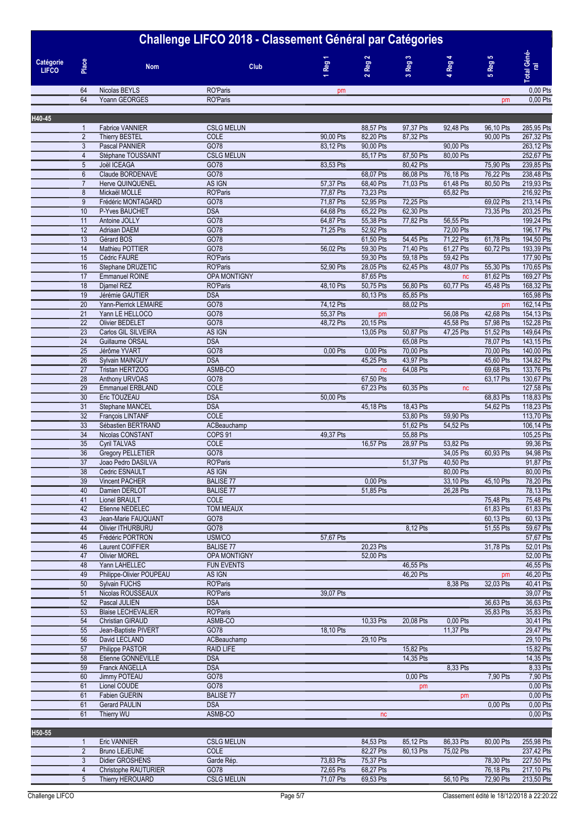| Challenge LIFCO 2018 - Classement Général par Catégories |                     |                                            |                                  |                        |                        |                        |                        |                        |                          |
|----------------------------------------------------------|---------------------|--------------------------------------------|----------------------------------|------------------------|------------------------|------------------------|------------------------|------------------------|--------------------------|
| Catégorie<br><b>LIFCO</b>                                | Place               | <b>Nom</b>                                 | Club                             | 1 Reg 1                | $2$ Reg $2$            | 3 Reg 3                | Reg 4<br>÷             | 5 Reg 5                | Total Géné-<br>ral       |
|                                                          | 64                  | Nicolas BEYLS                              | RO'Paris                         | pm                     |                        |                        |                        |                        | 0,00 Pts                 |
|                                                          | 64                  | Yoann GEORGES                              | RO'Paris                         |                        |                        |                        |                        | pm                     | 0,00 Pts                 |
| H40-45                                                   |                     |                                            |                                  |                        |                        |                        |                        |                        |                          |
|                                                          | $\mathbf{1}$        | Fabrice VANNIER                            | <b>CSLG MELUN</b>                |                        | 88,57 Pts              | 97,37 Pts              | 92,48 Pts              | 96,10 Pts              | 285,95 Pts               |
|                                                          | $\overline{2}$      | <b>Thierry BESTEL</b>                      | COLE                             | 90,00 Pts              | 82,20 Pts              | 87,32 Pts              |                        | 90,00 Pts              | 267,32 Pts               |
|                                                          | 3                   | Pascal PANNIER                             | GO78                             | 83,12 Pts              | 90,00 Pts              |                        | 90,00 Pts              |                        | 263,12 Pts               |
|                                                          | $\overline{4}$<br>5 | Stéphane TOUSSAINT<br>Joël ICEAGA          | <b>CSLG MELUN</b><br>GO78        | 83,53 Pts              | 85,17 Pts              | 87,50 Pts<br>80,42 Pts | 80,00 Pts              | 75,90 Pts              | 252,67 Pts<br>239,85 Pts |
|                                                          | 6                   | Claude BORDENAVE                           | GO78                             |                        | 68,07 Pts              | 86,08 Pts              | 76,18 Pts              | 76,22 Pts              | 238,48 Pts               |
|                                                          | $\overline{7}$      | Herve QUINQUENEL                           | AS IGN                           | 57,37 Pts              | 68,40 Pts              | 71,03 Pts              | 61,48 Pts              | 80,50 Pts              | 219,93 Pts               |
|                                                          | 8                   | Mickaël MOLLE                              | RO'Paris                         | 77,87 Pts              | 73,23 Pts              |                        | 65,82 Pts              |                        | 216,92 Pts               |
|                                                          | 9<br>10             | Frédéric MONTAGARD<br>P-Yves BAUCHET       | GO78<br><b>DSA</b>               | 71,87 Pts<br>64,68 Pts | 52,95 Pts<br>65,22 Pts | 72,25 Pts<br>62,30 Pts |                        | 69,02 Pts<br>73,35 Pts | 213,14 Pts<br>203,25 Pts |
|                                                          | 11                  | Antoine JOLLY                              | GO78                             | 64,87 Pts              | 55,38 Pts              | 77,82 Pts              | 56,55 Pts              |                        | 199,24 Pts               |
|                                                          | 12                  | Adriaan DAEM                               | GO78                             | 71,25 Pts              | 52,92 Pts              |                        | 72,00 Pts              |                        | 196,17 Pts               |
|                                                          | 13                  | Gérard BOS                                 | GO78                             |                        | 61,50 Pts              | 54,45 Pts              | 71,22 Pts              | 61,78 Pts              | 194,50 Pts               |
|                                                          | 14<br>15            | Mathieu POTTIER<br>Cédric FAURE            | GO78<br>RO'Paris                 | 56,02 Pts              | 59,30 Pts<br>59,30 Pts | 71,40 Pts<br>59,18 Pts | 61,27 Pts<br>59,42 Pts | 60,72 Pts              | 193,39 Pts<br>177,90 Pts |
|                                                          | 16                  | Stephane DRUZETIC                          | RO'Paris                         | 52,90 Pts              | 28,05 Pts              | 62,45 Pts              | 48,07 Pts              | 55,30 Pts              | 170,65 Pts               |
|                                                          | 17                  | Emmanuel ROINE                             | OPA MONTIGNY                     |                        | 87,65 Pts              |                        | nc                     | 81,62 Pts              | 169,27 Pts               |
|                                                          | $\overline{18}$     | Djamel REZ                                 | <b>RO'Paris</b>                  | 48,10 Pts              | 50,75 Pts              | 56,80 Pts              | 60,77 Pts              | 45,48 Pts              | 168,32 Pts               |
|                                                          | 19<br>20            | Jérémie GAUTIER<br>Yann-Pierrick LEMAIRE   | <b>DSA</b><br>GO78               | 74,12 Pts              | 80,13 Pts              | 85,85 Pts<br>88,02 Pts |                        | pm                     | 165,98 Pts<br>162,14 Pts |
|                                                          | $\overline{21}$     | Yann LE HELLOCO                            | GO78                             | 55,37 Pts              | pm                     |                        | 56,08 Pts              | 42,68 Pts              | 154,13 Pts               |
|                                                          | 22                  | Olivier BEDELET                            | GO78                             | 48,72 Pts              | 20,15 Pts              |                        | 45,58 Pts              | 57,98 Pts              | 152,28 Pts               |
|                                                          | 23                  | Carlos GIL SILVEIRA                        | AS IGN                           |                        | 13,05 Pts              | 50,87 Pts              | 47,25 Pts              | 51,52 Pts              | 149,64 Pts               |
|                                                          | 24                  | Guillaume ORSAL                            | <b>DSA</b>                       |                        |                        | 65,08 Pts              |                        | 78,07 Pts              | 143,15 Pts               |
|                                                          | 25<br>26            | Jérôme YVART<br>Sylvain MAINGUY            | GO78<br><b>DSA</b>               | 0,00 Pts               | 0,00 Pts<br>45,25 Pts  | 70,00 Pts<br>43,97 Pts |                        | 70,00 Pts<br>45,60 Pts | 140,00 Pts<br>134,82 Pts |
|                                                          | $\overline{27}$     | Tristan HERTZOG                            | ASMB-CO                          |                        | nc                     | 64,08 Pts              |                        | 69,68 Pts              | 133,76 Pts               |
|                                                          | 28                  | Anthony URVOAS                             | GO78                             |                        | 67,50 Pts              |                        |                        | 63,17 Pts              | 130,67 Pts               |
|                                                          | 29                  | Emmanuel ERBLAND                           | COLE                             |                        | 67,23 Pts              | 60,35 Pts              | nc                     |                        | 127,58 Pts               |
|                                                          | 30<br>31            | Eric TOUZEAU<br>Stephane MANCEL            | <b>DSA</b><br><b>DSA</b>         | 50,00 Pts              | 45,18 Pts              | 18,43 Pts              |                        | 68,83 Pts<br>54,62 Pts | 118,83 Pts<br>118,23 Pts |
|                                                          | 32                  | François LINTANF                           | <b>COLE</b>                      |                        |                        | 53,80 Pts              | 59,90 Pts              |                        | 113,70 Pts               |
|                                                          | 33                  | Sébastien BERTRAND                         | ACBeauchamp                      |                        |                        | 51,62 Pts              | 54,52 Pts              |                        | 106,14 Pts               |
|                                                          | $\overline{34}$     | Nicolas CONSTANT                           | COPS 91                          | 49,37 Pts              |                        | 55,88 Pts              |                        |                        | 105,25 Pts               |
|                                                          | 35                  | <b>Cyril TALVAS</b>                        | COLE<br>GO78                     |                        | 16,57 Pts              | 28,97 Pts              | 53,82 Pts              |                        | 99,36 Pts                |
|                                                          | 36<br>37            | Gregory PELLETIER<br>Joao Pedro DASILVA    | RO'Paris                         |                        |                        | 51,37 Pts              | 34,05 Pts<br>40,50 Pts | 60,93 Pts              | 94,98 Pts<br>91,87 Pts   |
|                                                          | 38                  | Cedric ESNAULT                             | AS IGN                           |                        |                        |                        | 80,00 Pts              |                        | 80,00 Pts                |
|                                                          | 39                  | Vincent PACHER                             | <b>BALISE 77</b>                 |                        | 0,00 Pts               |                        | 33,10 Pts              | 45,10 Pts              | 78,20 Pts                |
|                                                          | 40                  | Damien DERLOT                              | <b>BALISE 77</b>                 |                        | 51,85 Pts              |                        | 26,28 Pts              |                        | 78,13 Pts                |
|                                                          | 41<br>42            | Lionel BRAULT<br>Etienne NEDELEC           | COLE<br>TOM MEAUX                |                        |                        |                        |                        | 75,48 Pts<br>61,83 Pts | 75,48 Pts<br>61,83 Pts   |
|                                                          | 43                  | Jean-Marie FAUQUANT                        | GO78                             |                        |                        |                        |                        | 60,13 Pts              | 60,13 Pts                |
|                                                          | 44                  | <b>Olivier ITHURBURU</b>                   | GO78                             |                        |                        | 8,12 Pts               |                        | 51,55 Pts              | 59,67 Pts                |
|                                                          | 45                  | Frédéric PORTRON                           | USM/CO                           | 57,67 Pts              |                        |                        |                        |                        | 57,67 Pts                |
|                                                          | 46<br>47            | Laurent COIFFIER<br><b>Olivier MOREL</b>   | <b>BALISE 77</b><br>OPA MONTIGNY |                        | 20,23 Pts<br>52,00 Pts |                        |                        | 31,78 Pts              | 52,01 Pts<br>52,00 Pts   |
|                                                          | 48                  | Yann LAHELLEC                              | <b>FUN EVENTS</b>                |                        |                        | 46,55 Pts              |                        |                        | 46,55 Pts                |
|                                                          | 49                  | Philippe-Olivier POUPEAU                   | AS IGN                           |                        |                        | 46,20 Pts              |                        | pm                     | 46,20 Pts                |
|                                                          | 50                  | <b>Sylvain FUCHS</b>                       | RO'Paris                         |                        |                        |                        | 8,38 Pts               | 32,03 Pts              | 40,41 Pts                |
|                                                          | 51                  | Nicolas ROUSSEAUX                          | <b>RO'Paris</b>                  | 39,07 Pts              |                        |                        |                        |                        | 39,07 Pts                |
|                                                          | 52<br>53            | Pascal JULIEN<br><b>Blaise LECHEVALIER</b> | <b>DSA</b><br>RO'Paris           |                        |                        |                        |                        | 36,63 Pts<br>35,83 Pts | 36,63 Pts<br>35,83 Pts   |
|                                                          | 54                  | <b>Christian GIRAUD</b>                    | ASMB-CO                          |                        | 10,33 Pts              | 20,08 Pts              | 0,00 Pts               |                        | 30,41 Pts                |
|                                                          | 55                  | Jean-Baptiste PIVERT                       | GO78                             | 18,10 Pts              |                        |                        | 11,37 Pts              |                        | 29,47 Pts                |
|                                                          | 56                  | David LECLAND                              | ACBeauchamp                      |                        | 29,10 Pts              |                        |                        |                        | 29,10 Pts                |
|                                                          | 57<br>58            | Philippe PASTOR<br>Etienne GONNEVILLE      | <b>RAID LIFE</b><br><b>DSA</b>   |                        |                        | 15,82 Pts<br>14,35 Pts |                        |                        | 15,82 Pts<br>14,35 Pts   |
|                                                          | 59                  | Franck ANGELLA                             | <b>DSA</b>                       |                        |                        |                        | 8,33 Pts               |                        | 8,33 Pts                 |
|                                                          | 60                  | Jimmy POTEAU                               | GO78                             |                        |                        | 0,00 Pts               |                        | 7,90 Pts               | 7,90 Pts                 |
|                                                          | 61                  | Lionel COUDE                               | GO78                             |                        |                        | pm                     |                        |                        | 0,00 Pts                 |
|                                                          | 61                  | Fabien GUERIN                              | <b>BALISE 77</b>                 |                        |                        |                        | pm                     |                        | 0,00 Pts                 |
|                                                          | 61<br>61            | <b>Gerard PAULIN</b><br>Thierry WU         | <b>DSA</b><br>ASMB-CO            |                        | nc                     |                        |                        | 0,00 Pts               | 0,00 Pts<br>0,00 Pts     |
|                                                          |                     |                                            |                                  |                        |                        |                        |                        |                        |                          |
| <b>H50.55</b>                                            |                     |                                            |                                  |                        |                        |                        |                        |                        |                          |

| H50-55 |                      |                   |           |           |           |           |           |            |
|--------|----------------------|-------------------|-----------|-----------|-----------|-----------|-----------|------------|
|        | <b>Eric VANNIER</b>  | <b>CSLG MELUN</b> |           | 84.53 Pts | 85.12 Pts | 86.33 Pts | 80.00 Pts | 255.98 Pts |
|        | Bruno LEJEUNE        | <b>COLE</b>       |           | 82.27 Pts | 80.13 Pts | 75.02 Pts |           | 237.42 Pts |
|        | Didier GROSHENS      | Garde Rép.        | 73.83 Pts | 75.37 Pts |           |           | 78.30 Pts | 227.50 Pts |
|        | Christophe RAUTURIER | GO78              | 72.65 Pts | 68,27 Pts |           |           | 76.18 Pts | 217.10 Pts |
|        | Thierry HEROUARD     | <b>CSLG MELUN</b> | 71.07 Pts | 69.53 Pts |           | 56.10 Pts | 72.90 Pts | 213,50 Pts |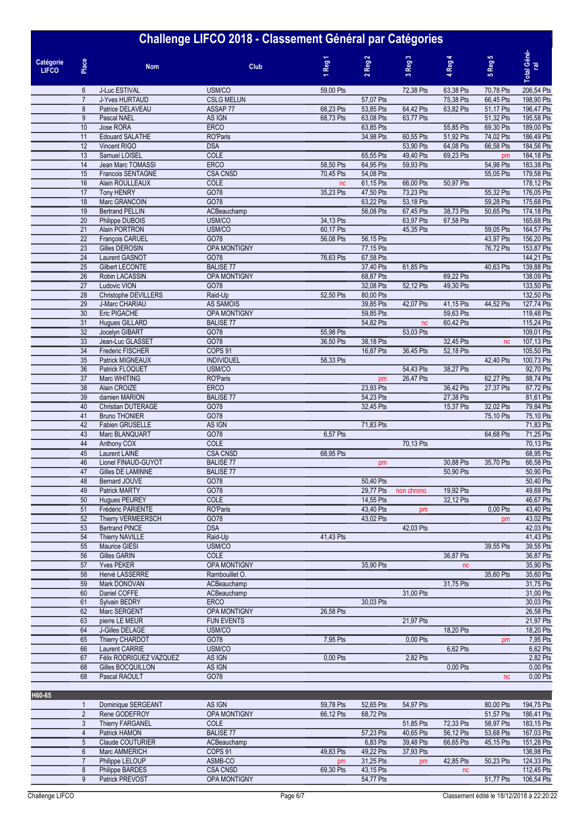|                           |                                    | שי                                         |                             |                        |                        | ີ                      |                 |                        |                          |
|---------------------------|------------------------------------|--------------------------------------------|-----------------------------|------------------------|------------------------|------------------------|-----------------|------------------------|--------------------------|
| Catégorie<br><b>LIFCO</b> | Place                              | <b>Nom</b>                                 | <b>Club</b>                 | Reg <sub>1</sub>       | $2$ Reg $2$            | 3 Reg 3                | 4 Reg 4         | 5 Reg 5                | Total Géné-<br>ral       |
|                           | 6                                  | J-Luc ESTIVAL                              | USM/CO                      | 59,00 Pts              |                        | 72,38 Pts              | 63,38 Pts       | 70,78 Pts              | 206,54 Pts               |
|                           | $\overline{7}$                     | J-Yves HURTAUD                             | <b>CSLG MELUN</b>           |                        | 57,07 Pts              |                        | 75,38 Pts       | 66,45 Pts              | 198,90 Pts               |
|                           | 8                                  | Patrice DELAVEAU                           | ASSAP 77                    | 68,23 Pts              | 53,85 Pts              | 64,42 Pts              | 63,82 Pts       | 51,17 Pts              | 196,47 Pts               |
|                           | $\overline{9}$<br>10               | Pascal NAEL<br>Jose RORA                   | AS IGN<br><b>ERCO</b>       | 68,73 Pts              | 63,08 Pts<br>63,85 Pts | 63,77 Pts              | 55,85 Pts       | 51,32 Pts<br>69,30 Pts | 195,58 Pts<br>189,00 Pts |
|                           | 11                                 | <b>Edouard SALATHE</b>                     | <b>RO'Paris</b>             |                        | 34,98 Pts              | 60,55 Pts              | 51,92 Pts       | 74,02 Pts              | 186,49 Pts               |
|                           | 12                                 | Vincent RIGO                               | <b>DSA</b>                  |                        |                        | 53.90 Pts              | 64,08 Pts       | 66,58 Pts              | 184,56 Pts               |
|                           | 13                                 | Samuel LOISEL                              | COLE                        |                        | 65,55 Pts              | 49,40 Pts              | 69,23 Pts       | pm                     | 184,18 Pts               |
|                           | 14                                 | Jean Marc TOMASSI                          | <b>ERCO</b>                 | 58,50 Pts              | 64,95 Pts              | 59,93 Pts              |                 | 54,98 Pts              | 183,38 Pts               |
|                           | 15                                 | Francois SENTAGNE                          | <b>CSA CNSD</b>             | 70,45 Pts              | 54,08 Pts              |                        |                 | 55,05 Pts              | 179,58 Pts               |
|                           | 16<br>17                           | Alain ROULLEAUX<br><b>Tony HENRY</b>       | COLE<br>GO78                | nc<br>35,23 Pts        | 61,15 Pts<br>47,50 Pts | 66,00 Pts<br>73,23 Pts | 50,97 Pts       | 55,32 Pts              | 178,12 Pts<br>176,05 Pts |
|                           | 18                                 | Marc GRANCOIN                              | GO78                        |                        | 63,22 Pts              | 53,18 Pts              |                 | 59,28 Pts              | 175,68 Pts               |
|                           | 19                                 | <b>Bertrand PELLIN</b>                     | ACBeauchamp                 |                        | 56,08 Pts              | 67,45 Pts              | 38,73 Pts       | 50,65 Pts              | 174,18 Pts               |
|                           | $\overline{20}$                    | Philippe DUBOIS                            | USM/CO                      | 34,13 Pts              |                        | 63,97 Pts              | 67,58 Pts       |                        | 165,68 Pts               |
|                           | $\overline{21}$                    | Alain PORTRON                              | USM/CO                      | 60,17 Pts              |                        | 45,35 Pts              |                 | 59,05 Pts              | 164,57 Pts               |
|                           | 22                                 | François CARUEL                            | GO78                        | 56,08 Pts              | 56,15 Pts              |                        |                 | 43,97 Pts              | 156,20 Pts               |
|                           | 23                                 | Gilles DEROSIN                             | <b>OPA MONTIGNY</b>         |                        | 77,15 Pts              |                        |                 | 76,72 Pts              | 153,87 Pts               |
|                           | $\overline{24}$<br>$\overline{25}$ | Laurent GASNOT<br><b>Gilbert LECONTE</b>   | GO78<br><b>BALISE 77</b>    | 76,63 Pts              | 67,58 Pts<br>37,40 Pts | 61,85 Pts              |                 | 40,63 Pts              | 144,21 Pts<br>139,88 Pts |
|                           | $\overline{26}$                    | Robin LACASSIN                             | <b>OPA MONTIGNY</b>         |                        | 68,87 Pts              |                        | 69,22 Pts       |                        | 138,09 Pts               |
|                           | $\overline{27}$                    | Ludovic VION                               | GO78                        |                        | 32,08 Pts              | 52,12 Pts              | 49,30 Pts       |                        | 133,50 Pts               |
|                           | $\overline{28}$                    | Christophe DEVILLERS                       | Raid-Up                     | 52,50 Pts              | 80,00 Pts              |                        |                 |                        | 132,50 Pts               |
|                           | $\overline{29}$                    | J-Marc CHARIAU                             | <b>AS SAMOIS</b>            |                        | 39,85 Pts              | 42,07 Pts              | 41,15 Pts       | 44,52 Pts              | 127,74 Pts               |
|                           | 30                                 | <b>Eric PIGACHE</b>                        | OPA MONTIGNY                |                        | 59,85 Pts              |                        | 59,63 Pts       |                        | 119,48 Pts               |
|                           | 31                                 | Hugues GILLARD                             | <b>BALISE 77</b>            |                        | 54,82 Pts              | nc                     | 60,42 Pts       |                        | 115,24 Pts               |
|                           | $\overline{32}$<br>33              | Jocelyn GIBART<br>Jean-Luc GLASSET         | GO78<br>GO78                | 55,98 Pts<br>36,50 Pts | 38,18 Pts              | 53,03 Pts              | 32,45 Pts       | nc                     | 109,01 Pts<br>107,13 Pts |
|                           | $\overline{34}$                    | Frederic FISCHER                           | COPS <sub>91</sub>          |                        | 16,87 Pts              | 36,45 Pts              | 52,18 Pts       |                        | 105,50 Pts               |
|                           | 35                                 | Patrick MIGNEAUX                           | <b>INDIVIDUEL</b>           | 58,33 Pts              |                        |                        |                 | 42,40 Pts              | 100,73 Pts               |
|                           | $\overline{36}$                    | Patrick FLOQUET                            | USM/CO                      |                        |                        | 54,43 Pts              | 38,27 Pts       |                        | 92,70 Pts                |
|                           | $\overline{37}$                    | Marc WHITING                               | <b>RO'Paris</b>             |                        | pm                     | 26,47 Pts              |                 | 62,27 Pts              | 88,74 Pts                |
|                           | 38                                 | Alain CROIZE                               | <b>ERCO</b>                 |                        | 23,93 Pts              |                        | 36,42 Pts       | 27,37 Pts              | 87,72 Pts                |
|                           | 39                                 | damien MARION                              | <b>BALISE 77</b>            |                        | 54,23 Pts              |                        | 27,38 Pts       |                        | 81,61 Pts                |
|                           | 40<br>41                           | Christian DUTERAGE<br><b>Bruno THONIER</b> | GO78<br>GO78                |                        | 32,45 Pts              |                        | 15,37 Pts       | 32,02 Pts<br>75,10 Pts | 79,84 Pts<br>75,10 Pts   |
|                           | 42                                 | Fabien GRUSELLE                            | AS IGN                      |                        | 71,83 Pts              |                        |                 |                        | 71,83 Pts                |
|                           | 43                                 | Marc BLANQUART                             | GO78                        | 6,57 Pts               |                        |                        |                 | 64,68 Pts              | 71,25 Pts                |
|                           | 44                                 | Anthony COX                                | <b>COLE</b>                 |                        |                        | 70.13 Pts              |                 |                        | 70,13 Pts                |
|                           | 45                                 | Laurent LAINE                              | <b>CSA CNSD</b>             | 68,95 Pts              |                        |                        |                 |                        | 68,95 Pts                |
|                           | 46                                 | Lionel FINAUD-GUYOT                        | <b>BALISE 77</b>            |                        | pm                     |                        | 30,88 Pts       | 35,70 Pts              | 66,58 Pts                |
|                           | 47                                 | <b>Gilles DE LAMINNE</b>                   | <b>BALISE 77</b>            |                        |                        |                        | 50,90 Pts       |                        | 50,90 Pts<br>50.40 Pts   |
|                           | 48<br>49                           | Bernard JOUVE<br><b>Patrick MARTY</b>      | GO78<br>GO78                |                        | 50,40 Pts<br>29,77 Pts | non chrono.            | 19,92 Pts       |                        | 49,69 Pts                |
|                           | 50                                 | <b>Hugues PEUREY</b>                       | <b>COLE</b>                 |                        | 14,55 Pts              |                        | 32,12 Pts       |                        | 46,67 Pts                |
|                           | 51                                 | Frédéric PARIENTE                          | RO'Paris                    |                        | 43,40 Pts              | pm                     |                 | 0,00 Pts               | 43,40 Pts                |
|                           | 52                                 | Thierry VERMEERSCH                         | GO78                        |                        | 43,02 Pts              |                        |                 | pm                     | 43,02 Pts                |
|                           | 53                                 | <b>Bertrand PINCE</b>                      | <b>DSA</b>                  |                        |                        | 42,03 Pts              |                 |                        | 42,03 Pts                |
|                           | 54                                 | <b>Thierry NAVILLE</b>                     | Raid-Up                     | 41,43 Pts              |                        |                        |                 |                        | 41,43 Pts                |
|                           | 55                                 | Maurice GIESI                              | USM/CO                      |                        |                        |                        |                 | 39,55 Pts              | 39,55 Pts<br>36,87 Pts   |
|                           | 56<br>57                           | Gilles GARIN<br><b>Yves PEKER</b>          | COLE<br><b>OPA MONTIGNY</b> |                        | 35,90 Pts              |                        | 36,87 Pts<br>nc |                        | 35,90 Pts                |
|                           | 58                                 | Hervé LASSERRE                             | Rambouillet O.              |                        |                        |                        |                 | 35,60 Pts              | 35,60 Pts                |
|                           | 59                                 | Mark DONOVAN                               | ACBeauchamp                 |                        |                        |                        | 31,75 Pts       |                        | 31,75 Pts                |
|                           | 60                                 | Daniel COFFE                               | ACBeauchamp                 |                        |                        | 31,00 Pts              |                 |                        | 31,00 Pts                |
|                           | 61                                 | Sylvain BEDRY                              | <b>ERCO</b>                 |                        | 30,03 Pts              |                        |                 |                        | 30,03 Pts                |
|                           | 62                                 | Marc SERGENT                               | <b>OPA MONTIGNY</b>         | 26,58 Pts              |                        |                        |                 |                        | 26,58 Pts                |
|                           | 63<br>64                           | pierre LE MEUR<br>J-Gilles DELAGE          | <b>FUN EVENTS</b><br>USM/CO |                        |                        | 21,97 Pts              | 18,20 Pts       |                        | 21,97 Pts<br>18,20 Pts   |
|                           | 65                                 | Thierry CHARDOT                            | GO78                        | 7,95 Pts               |                        | 0,00 Pts               |                 | pm                     | 7,95 Pts                 |
|                           | 66                                 | Laurent CARRIE                             | USM/CO                      |                        |                        |                        | 6,62 Pts        |                        | 6,62 Pts                 |
|                           | 67                                 | Félix RODRIGUEZ VAZQUEZ                    | AS IGN                      | 0,00 Pts               |                        | 2,82 Pts               |                 |                        | 2,82 Pts                 |
|                           | 68                                 | Gilles BOCQUILLON                          | AS IGN                      |                        |                        |                        | 0,00 Pts        |                        | 0,00 Pts                 |
|                           | 68                                 | Pascal RAOULT                              | GO78                        |                        |                        |                        |                 | nc                     | 0,00 Pts                 |

| H60-65 |                         |                     |           |           |           |           |           |            |
|--------|-------------------------|---------------------|-----------|-----------|-----------|-----------|-----------|------------|
|        | Dominique SERGEANT      | AS IGN              | 59,78 Pts | 52,65 Pts | 54,97 Pts |           | 80.00 Pts | 194,75 Pts |
|        | Rene GODEFROY           | <b>OPA MONTIGNY</b> | 66,12 Pts | 68,72 Pts |           |           | 51.57 Pts | 186,41 Pts |
|        | <b>Thierry FARGANEL</b> | <b>COLE</b>         |           |           | 51,85 Pts | 72,33 Pts | 58.97 Pts | 183,15 Pts |
|        | Patrick HAMON           | <b>BALISE 77</b>    |           | 57,23 Pts | 40,65 Pts | 56,12 Pts | 53,68 Pts | 167,03 Pts |
|        | Claude COUTURIER        | ACBeauchamp         |           | 6,83 Pts  | 39,48 Pts | 66,65 Pts | 45.15 Pts | 151,28 Pts |
|        | Marc AMMERICH           | COPS <sub>91</sub>  | 49,83 Pts | 49,22 Pts | 37,93 Pts |           |           | 136,98 Pts |
|        | Philippe LELOUP         | ASMB-CO             | pm        | 31,25 Pts | pm        | 42,85 Pts | 50.23 Pts | 124,33 Pts |
|        | <b>Philippe BARDES</b>  | <b>CSA CNSD</b>     | 69,30 Pts | 43,15 Pts |           | nc        |           | 112,45 Pts |
|        | <b>Patrick PREVOST</b>  | <b>OPA MONTIGNY</b> |           | 54.77 Pts |           |           | 51.77 Pts | 106.54 Pts |